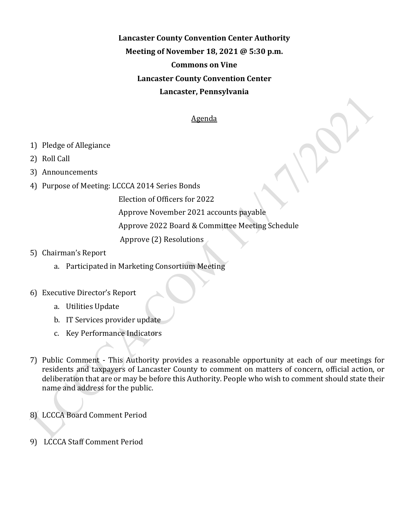## **Lancaster County Convention Center Authority Meeting of November 18, 2021 @ 5:30 p.m. Commons on Vine Lancaster County Convention Center Lancaster, Pennsylvania**

## Agenda

- 1) Pledge of Allegiance
- 2) Roll Call
- 3) Announcements
- 4) Purpose of Meeting: LCCCA 2014 Series Bonds

Election of Officers for 2022

Approve November 2021 accounts payable

Approve 2022 Board & Committee Meeting Schedule

Approve (2) Resolutions

## 5) Chairman's Report

a. Participated in Marketing Consortium Meeting

## 6) Executive Director's Report

- a. Utilities Update
- b. IT Services provider update
- c. Key Performance Indicators
- 7) Public Comment This Authority provides a reasonable opportunity at each of our meetings for residents and taxpayers of Lancaster County to comment on matters of concern, official action, or deliberation that are or may be before this Authority. People who wish to comment should state their name and address for the public.
- 8) LCCCA Board Comment Period
- 9) LCCCA Staff Comment Period